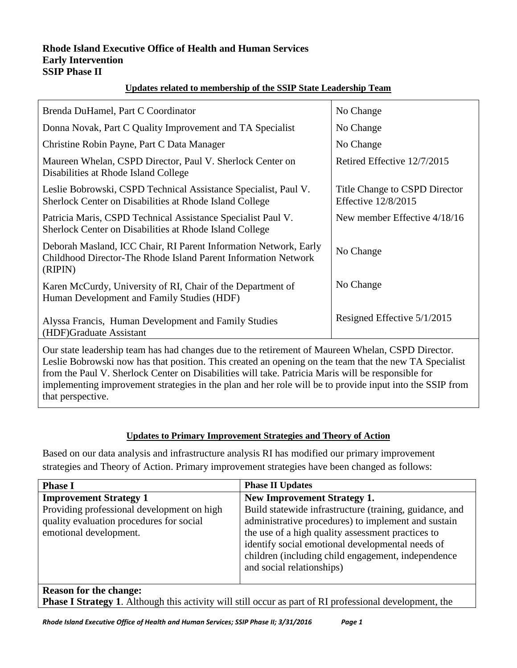#### **Rhode Island Executive Office of Health and Human Services Early Intervention SSIP Phase II**

### **Updates related to membership of the SSIP State Leadership Team**

| Brenda DuHamel, Part C Coordinator                                                                                                                                                                          | No Change                                                   |  |  |  |
|-------------------------------------------------------------------------------------------------------------------------------------------------------------------------------------------------------------|-------------------------------------------------------------|--|--|--|
| Donna Novak, Part C Quality Improvement and TA Specialist                                                                                                                                                   | No Change                                                   |  |  |  |
| Christine Robin Payne, Part C Data Manager                                                                                                                                                                  | No Change                                                   |  |  |  |
| Maureen Whelan, CSPD Director, Paul V. Sherlock Center on<br>Disabilities at Rhode Island College                                                                                                           | Retired Effective 12/7/2015                                 |  |  |  |
| Leslie Bobrowski, CSPD Technical Assistance Specialist, Paul V.<br>Sherlock Center on Disabilities at Rhode Island College                                                                                  | Title Change to CSPD Director<br><b>Effective 12/8/2015</b> |  |  |  |
| Patricia Maris, CSPD Technical Assistance Specialist Paul V.<br>Sherlock Center on Disabilities at Rhode Island College                                                                                     | New member Effective 4/18/16                                |  |  |  |
| Deborah Masland, ICC Chair, RI Parent Information Network, Early<br>Childhood Director-The Rhode Island Parent Information Network<br>(RIPIN)                                                               | No Change                                                   |  |  |  |
| Karen McCurdy, University of RI, Chair of the Department of<br>Human Development and Family Studies (HDF)                                                                                                   | No Change                                                   |  |  |  |
| Alyssa Francis, Human Development and Family Studies<br>(HDF)Graduate Assistant                                                                                                                             | Resigned Effective 5/1/2015                                 |  |  |  |
| Our state leadership team has had changes due to the retirement of Maureen Whelan, CSPD Director.<br>Leslie Bobrowski now has that position. This created an opening on the team that the new TA Specialist |                                                             |  |  |  |

slie Bobrowski now has that position. This created an opening on the team that the new TA Specialist from the Paul V. Sherlock Center on Disabilities will take. Patricia Maris will be responsible for implementing improvement strategies in the plan and her role will be to provide input into the SSIP from that perspective.

### **Updates to Primary Improvement Strategies and Theory of Action**

Based on our data analysis and infrastructure analysis RI has modified our primary improvement strategies and Theory of Action. Primary improvement strategies have been changed as follows:

| <b>Phase I</b>                                                                                                                                    | <b>Phase II Updates</b>                                                                                                                                                                                                                                                                                                                          |  |
|---------------------------------------------------------------------------------------------------------------------------------------------------|--------------------------------------------------------------------------------------------------------------------------------------------------------------------------------------------------------------------------------------------------------------------------------------------------------------------------------------------------|--|
| <b>Improvement Strategy 1</b><br>Providing professional development on high<br>quality evaluation procedures for social<br>emotional development. | <b>New Improvement Strategy 1.</b><br>Build statewide infrastructure (training, guidance, and<br>administrative procedures) to implement and sustain<br>the use of a high quality assessment practices to<br>identify social emotional developmental needs of<br>children (including child engagement, independence<br>and social relationships) |  |
| <b>Reason for the change:</b><br><b>Phase I Strategy 1.</b> Although this activity will still occur as part of RI professional development, the   |                                                                                                                                                                                                                                                                                                                                                  |  |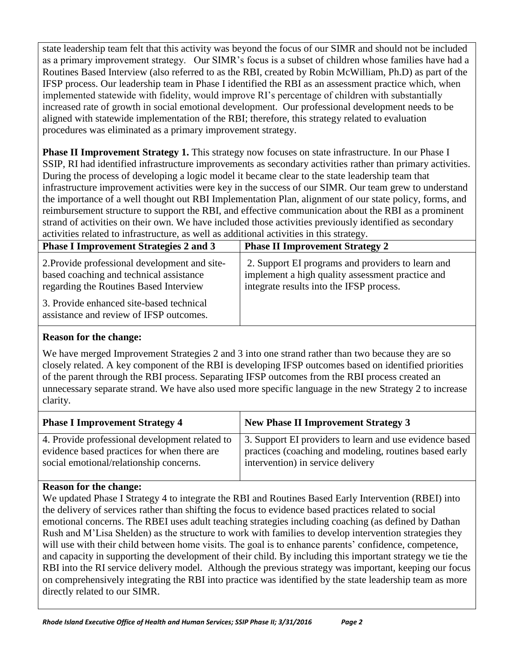state leadership team felt that this activity was beyond the focus of our SIMR and should not be included as a primary improvement strategy. Our SIMR's focus is a subset of children whose families have had a Routines Based Interview (also referred to as the RBI, created by Robin McWilliam, Ph.D) as part of the IFSP process. Our leadership team in Phase I identified the RBI as an assessment practice which, when implemented statewide with fidelity, would improve RI's percentage of children with substantially increased rate of growth in social emotional development. Our professional development needs to be aligned with statewide implementation of the RBI; therefore, this strategy related to evaluation procedures was eliminated as a primary improvement strategy.

**Phase II Improvement Strategy 1.** This strategy now focuses on state infrastructure. In our Phase I SSIP, RI had identified infrastructure improvements as secondary activities rather than primary activities. During the process of developing a logic model it became clear to the state leadership team that infrastructure improvement activities were key in the success of our SIMR*.* Our team grew to understand the importance of a well thought out RBI Implementation Plan, alignment of our state policy, forms, and reimbursement structure to support the RBI, and effective communication about the RBI as a prominent strand of activities on their own. We have included those activities previously identified as secondary activities related to infrastructure, as well as additional activities in this strategy.

| <b>Phase I Improvement Strategies 2 and 3</b>                                                                                      | <b>Phase II Improvement Strategy 2</b>                                                                                                            |
|------------------------------------------------------------------------------------------------------------------------------------|---------------------------------------------------------------------------------------------------------------------------------------------------|
| 2. Provide professional development and site-<br>based coaching and technical assistance<br>regarding the Routines Based Interview | 2. Support EI programs and providers to learn and<br>implement a high quality assessment practice and<br>integrate results into the IFSP process. |
| 3. Provide enhanced site-based technical<br>assistance and review of IFSP outcomes.                                                |                                                                                                                                                   |

## **Reason for the change:**

We have merged Improvement Strategies 2 and 3 into one strand rather than two because they are so closely related. A key component of the RBI is developing IFSP outcomes based on identified priorities of the parent through the RBI process. Separating IFSP outcomes from the RBI process created an unnecessary separate strand. We have also used more specific language in the new Strategy 2 to increase clarity.

| <b>Phase I Improvement Strategy 4</b>          | <b>New Phase II Improvement Strategy 3</b>              |
|------------------------------------------------|---------------------------------------------------------|
| 4. Provide professional development related to | 3. Support EI providers to learn and use evidence based |
| evidence based practices for when there are    | practices (coaching and modeling, routines based early  |
| social emotional/relationship concerns.        | intervention) in service delivery                       |
|                                                |                                                         |

## **Reason for the change:**

We updated Phase I Strategy 4 to integrate the RBI and Routines Based Early Intervention (RBEI) into the delivery of services rather than shifting the focus to evidence based practices related to social emotional concerns. The RBEI uses adult teaching strategies including coaching (as defined by Dathan Rush and M'Lisa Shelden) as the structure to work with families to develop intervention strategies they will use with their child between home visits. The goal is to enhance parents' confidence, competence, and capacity in supporting the development of their child. By including this important strategy we tie the RBI into the RI service delivery model. Although the previous strategy was important, keeping our focus on comprehensively integrating the RBI into practice was identified by the state leadership team as more directly related to our SIMR.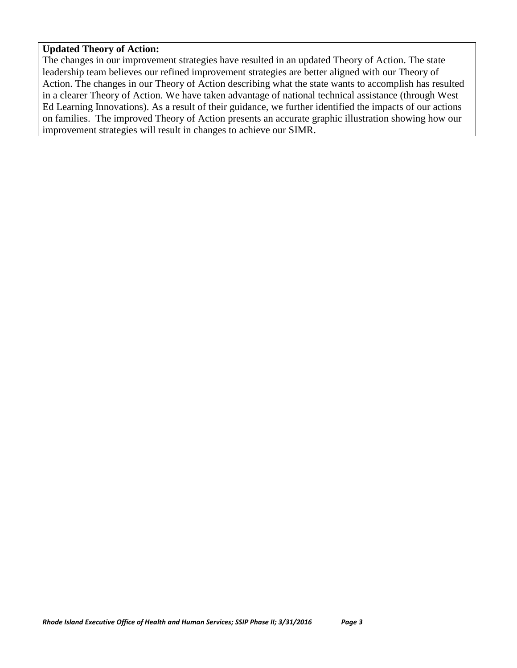#### **Updated Theory of Action:**

The changes in our improvement strategies have resulted in an updated Theory of Action. The state leadership team believes our refined improvement strategies are better aligned with our Theory of Action. The changes in our Theory of Action describing what the state wants to accomplish has resulted in a clearer Theory of Action. We have taken advantage of national technical assistance (through West Ed Learning Innovations). As a result of their guidance, we further identified the impacts of our actions on families. The improved Theory of Action presents an accurate graphic illustration showing how our improvement strategies will result in changes to achieve our SIMR.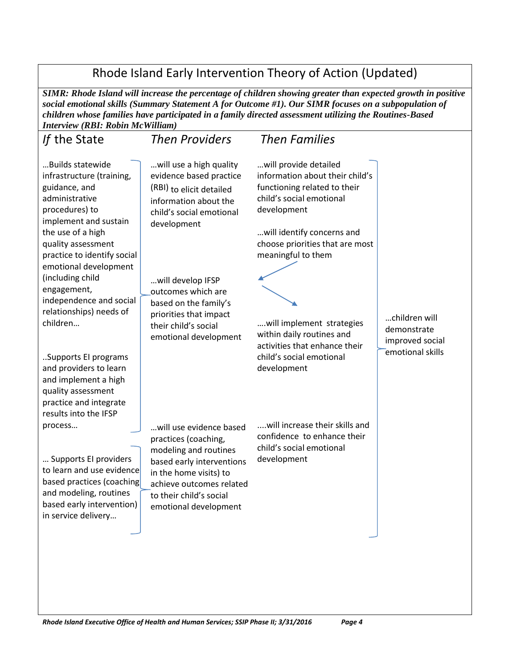Rhode Island Early Intervention Theory of Action (Updated)

*SIMR: Rhode Island will increase the percentage of children showing greater than expected growth in positive social emotional skills (Summary Statement A for Outcome #1). Our SIMR focuses on a subpopulation of children whose families have participated in a family directed assessment utilizing the Routines-Based Interview (RBI: Robin McWilliam)*

| If the State                                                                                                                                                                                                                                                                                                                                                                                                                                                                           | <b>Then Providers</b>                                                                                                                                                                                                                                                                             | <b>Then Families</b>                                                                                                                                                                                                                                                                                                                                             |                                                                     |
|----------------------------------------------------------------------------------------------------------------------------------------------------------------------------------------------------------------------------------------------------------------------------------------------------------------------------------------------------------------------------------------------------------------------------------------------------------------------------------------|---------------------------------------------------------------------------------------------------------------------------------------------------------------------------------------------------------------------------------------------------------------------------------------------------|------------------------------------------------------------------------------------------------------------------------------------------------------------------------------------------------------------------------------------------------------------------------------------------------------------------------------------------------------------------|---------------------------------------------------------------------|
| Builds statewide<br>infrastructure (training,<br>guidance, and<br>administrative<br>procedures) to<br>implement and sustain<br>the use of a high<br>quality assessment<br>practice to identify social<br>emotional development<br>(including child<br>engagement,<br>independence and social<br>relationships) needs of<br>children<br>Supports El programs<br>and providers to learn<br>and implement a high<br>quality assessment<br>practice and integrate<br>results into the IFSP | will use a high quality<br>evidence based practice<br>(RBI) to elicit detailed<br>information about the<br>child's social emotional<br>development<br>will develop IFSP<br>outcomes which are<br>based on the family's<br>priorities that impact<br>their child's social<br>emotional development | will provide detailed<br>information about their child's<br>functioning related to their<br>child's social emotional<br>development<br>will identify concerns and<br>choose priorities that are most<br>meaningful to them<br>will implement strategies<br>within daily routines and<br>activities that enhance their<br>child's social emotional<br>development | children will<br>demonstrate<br>improved social<br>emotional skills |
| process<br>Supports El providers<br>to learn and use evidence<br>based practices (coaching<br>and modeling, routines<br>based early intervention)<br>in service delivery                                                                                                                                                                                                                                                                                                               | will use evidence based<br>practices (coaching,<br>modeling and routines<br>based early interventions<br>in the home visits) to<br>achieve outcomes related<br>to their child's social<br>emotional development                                                                                   | will increase their skills and<br>confidence to enhance their<br>child's social emotional<br>development                                                                                                                                                                                                                                                         |                                                                     |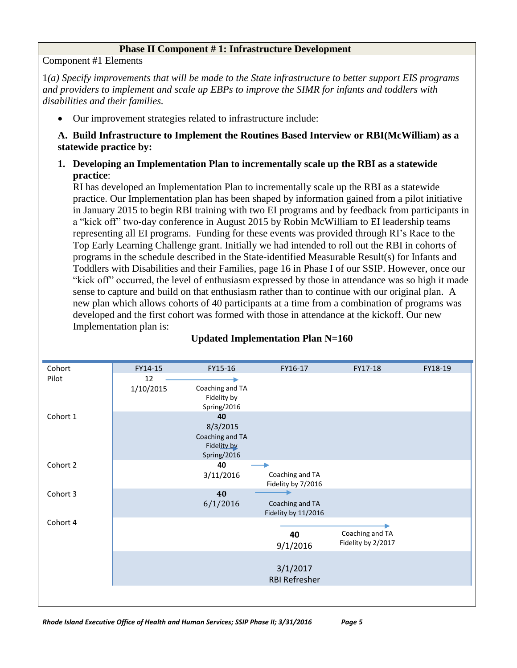#### **Phase II Component # 1: Infrastructure Development**

Component #1 Elements

1*(a) Specify improvements that will be made to the State infrastructure to better support EIS programs and providers to implement and scale up EBPs to improve the SIMR for infants and toddlers with disabilities and their families.*

Our improvement strategies related to infrastructure include:

**A. Build Infrastructure to Implement the Routines Based Interview or RBI(McWilliam) as a statewide practice by:** 

**1. Developing an Implementation Plan to incrementally scale up the RBI as a statewide practice**:

RI has developed an Implementation Plan to incrementally scale up the RBI as a statewide practice. Our Implementation plan has been shaped by information gained from a pilot initiative in January 2015 to begin RBI training with two EI programs and by feedback from participants in a "kick off" two-day conference in August 2015 by Robin McWilliam to EI leadership teams representing all EI programs. Funding for these events was provided through RI's Race to the Top Early Learning Challenge grant. Initially we had intended to roll out the RBI in cohorts of programs in the schedule described in the State-identified Measurable Result(s) for Infants and Toddlers with Disabilities and their Families, page 16 in Phase I of our SSIP. However, once our "kick off" occurred, the level of enthusiasm expressed by those in attendance was so high it made sense to capture and build on that enthusiasm rather than to continue with our original plan. A new plan which allows cohorts of 40 participants at a time from a combination of programs was developed and the first cohort was formed with those in attendance at the kickoff. Our new Implementation plan is:



### **Updated Implementation Plan N=160**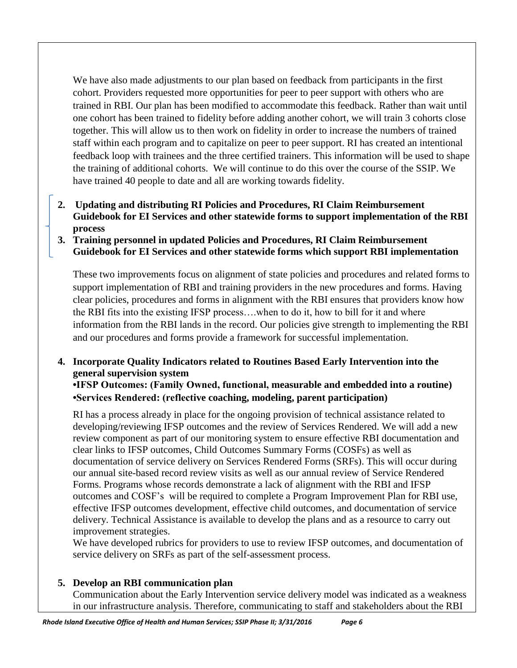We have also made adjustments to our plan based on feedback from participants in the first cohort. Providers requested more opportunities for peer to peer support with others who are trained in RBI. Our plan has been modified to accommodate this feedback. Rather than wait until one cohort has been trained to fidelity before adding another cohort, we will train 3 cohorts close together. This will allow us to then work on fidelity in order to increase the numbers of trained staff within each program and to capitalize on peer to peer support. RI has created an intentional feedback loop with trainees and the three certified trainers. This information will be used to shape the training of additional cohorts. We will continue to do this over the course of the SSIP. We have trained 40 people to date and all are working towards fidelity.

- **2. Updating and distributing RI Policies and Procedures, RI Claim Reimbursement Guidebook for EI Services and other statewide forms to support implementation of the RBI process**
- **3. Training personnel in updated Policies and Procedures, RI Claim Reimbursement Guidebook for EI Services and other statewide forms which support RBI implementation**

These two improvements focus on alignment of state policies and procedures and related forms to support implementation of RBI and training providers in the new procedures and forms. Having clear policies, procedures and forms in alignment with the RBI ensures that providers know how the RBI fits into the existing IFSP process….when to do it, how to bill for it and where information from the RBI lands in the record. Our policies give strength to implementing the RBI and our procedures and forms provide a framework for successful implementation.

# **4. Incorporate Quality Indicators related to Routines Based Early Intervention into the general supervision system**

**•IFSP Outcomes: (Family Owned, functional, measurable and embedded into a routine) •Services Rendered: (reflective coaching, modeling, parent participation)**

RI has a process already in place for the ongoing provision of technical assistance related to developing/reviewing IFSP outcomes and the review of Services Rendered. We will add a new review component as part of our monitoring system to ensure effective RBI documentation and clear links to IFSP outcomes, Child Outcomes Summary Forms (COSFs) as well as documentation of service delivery on Services Rendered Forms (SRFs). This will occur during our annual site-based record review visits as well as our annual review of Service Rendered Forms. Programs whose records demonstrate a lack of alignment with the RBI and IFSP outcomes and COSF's will be required to complete a Program Improvement Plan for RBI use, effective IFSP outcomes development, effective child outcomes, and documentation of service delivery. Technical Assistance is available to develop the plans and as a resource to carry out improvement strategies.

We have developed rubrics for providers to use to review IFSP outcomes, and documentation of service delivery on SRFs as part of the self-assessment process.

**5. Develop an RBI communication plan** Communication about the Early Intervention service delivery model was indicated as a weakness in our infrastructure analysis. Therefore, communicating to staff and stakeholders about the RBI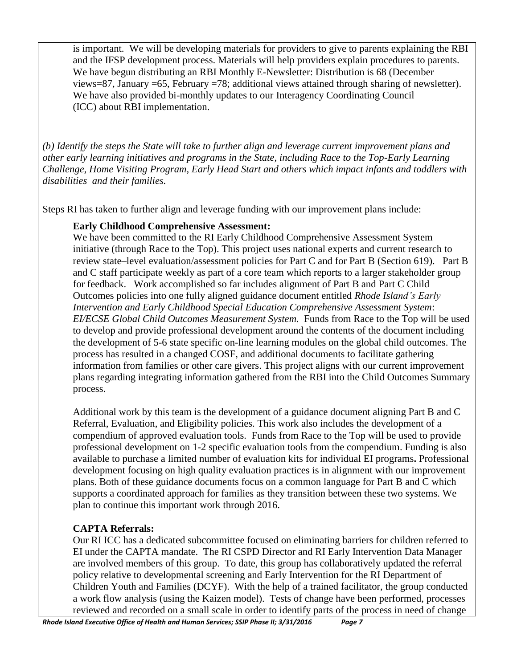is important. We will be developing materials for providers to give to parents explaining the RBI and the IFSP development process. Materials will help providers explain procedures to parents. We have begun distributing an RBI Monthly E-Newsletter: Distribution is 68 (December views=87, January =65, February =78; additional views attained through sharing of newsletter). We have also provided bi-monthly updates to our Interagency Coordinating Council (ICC) about RBI implementation.

*(b) Identify the steps the State will take to further align and leverage current improvement plans and other early learning initiatives and programs in the State, including Race to the Top-Early Learning Challenge, Home Visiting Program, Early Head Start and others which impact infants and toddlers with disabilities and their families.*

Steps RI has taken to further align and leverage funding with our improvement plans include:

### **Early Childhood Comprehensive Assessment:**

We have been committed to the RI Early Childhood Comprehensive Assessment System initiative (through Race to the Top). This project uses national experts and current research to review state–level evaluation/assessment policies for Part C and for Part B (Section 619). Part B and C staff participate weekly as part of a core team which reports to a larger stakeholder group for feedback. Work accomplished so far includes alignment of Part B and Part C Child Outcomes policies into one fully aligned guidance document entitled *Rhode Island's Early Intervention and Early Childhood Special Education Comprehensive Assessment System*: *EI/ECSE Global Child Outcomes Measurement System.* Funds from Race to the Top will be used to develop and provide professional development around the contents of the document including the development of 5-6 state specific on-line learning modules on the global child outcomes. The process has resulted in a changed COSF, and additional documents to facilitate gathering information from families or other care givers. This project aligns with our current improvement plans regarding integrating information gathered from the RBI into the Child Outcomes Summary process.

Additional work by this team is the development of a guidance document aligning Part B and C Referral, Evaluation, and Eligibility policies. This work also includes the development of a compendium of approved evaluation tools. Funds from Race to the Top will be used to provide professional development on 1-2 specific evaluation tools from the compendium. Funding is also available to purchase a limited number of evaluation kits for individual EI programs**.** Professional development focusing on high quality evaluation practices is in alignment with our improvement plans. Both of these guidance documents focus on a common language for Part B and C which supports a coordinated approach for families as they transition between these two systems. We plan to continue this important work through 2016.

## **CAPTA Referrals:**

Our RI ICC has a dedicated subcommittee focused on eliminating barriers for children referred to EI under the CAPTA mandate. The RI CSPD Director and RI Early Intervention Data Manager are involved members of this group. To date, this group has collaboratively updated the referral policy relative to developmental screening and Early Intervention for the RI Department of Children Youth and Families (DCYF). With the help of a trained facilitator, the group conducted a work flow analysis (using the Kaizen model). Tests of change have been performed, processes reviewed and recorded on a small scale in order to identify parts of the process in need of change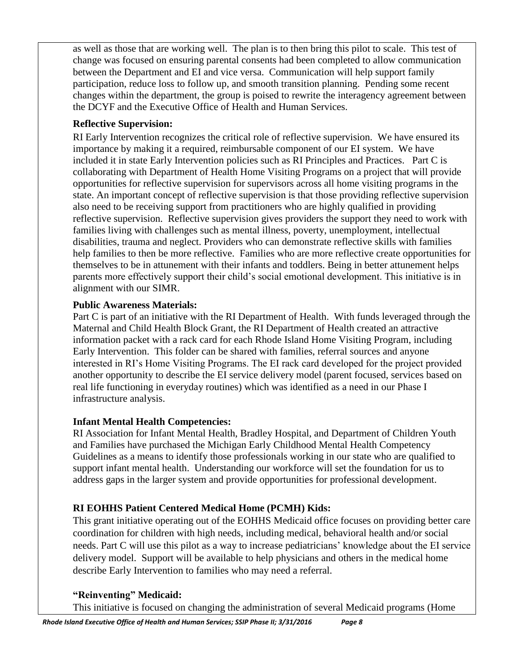as well as those that are working well. The plan is to then bring this pilot to scale. This test of change was focused on ensuring parental consents had been completed to allow communication between the Department and EI and vice versa. Communication will help support family participation, reduce loss to follow up, and smooth transition planning. Pending some recent changes within the department, the group is poised to rewrite the interagency agreement between the DCYF and the Executive Office of Health and Human Services.

## **Reflective Supervision:**

RI Early Intervention recognizes the critical role of reflective supervision. We have ensured its importance by making it a required, reimbursable component of our EI system. We have included it in state Early Intervention policies such as RI Principles and Practices. Part C is collaborating with Department of Health Home Visiting Programs on a project that will provide opportunities for reflective supervision for supervisors across all home visiting programs in the state. An important concept of reflective supervision is that those providing reflective supervision also need to be receiving support from practitioners who are highly qualified in providing reflective supervision. Reflective supervision gives providers the support they need to work with families living with challenges such as mental illness, poverty, unemployment, intellectual disabilities, trauma and neglect. Providers who can demonstrate reflective skills with families help families to then be more reflective. Families who are more reflective create opportunities for themselves to be in attunement with their infants and toddlers. Being in better attunement helps parents more effectively support their child's social emotional development. This initiative is in alignment with our SIMR.

## **Public Awareness Materials:**

Part C is part of an initiative with the RI Department of Health. With funds leveraged through the Maternal and Child Health Block Grant, the RI Department of Health created an attractive information packet with a rack card for each Rhode Island Home Visiting Program, including Early Intervention. This folder can be shared with families, referral sources and anyone interested in RI's Home Visiting Programs. The EI rack card developed for the project provided another opportunity to describe the EI service delivery model (parent focused, services based on real life functioning in everyday routines) which was identified as a need in our Phase I infrastructure analysis.

# **Infant Mental Health Competencies:**

RI Association for Infant Mental Health, Bradley Hospital, and Department of Children Youth and Families have purchased the Michigan Early Childhood Mental Health Competency Guidelines as a means to identify those professionals working in our state who are qualified to support infant mental health. Understanding our workforce will set the foundation for us to address gaps in the larger system and provide opportunities for professional development.

# **RI EOHHS Patient Centered Medical Home (PCMH) Kids:**

This grant initiative operating out of the EOHHS Medicaid office focuses on providing better care coordination for children with high needs, including medical, behavioral health and/or social needs. Part C will use this pilot as a way to increase pediatricians' knowledge about the EI service delivery model. Support will be available to help physicians and others in the medical home describe Early Intervention to families who may need a referral.

# **"Reinventing" Medicaid:**

This initiative is focused on changing the administration of several Medicaid programs (Home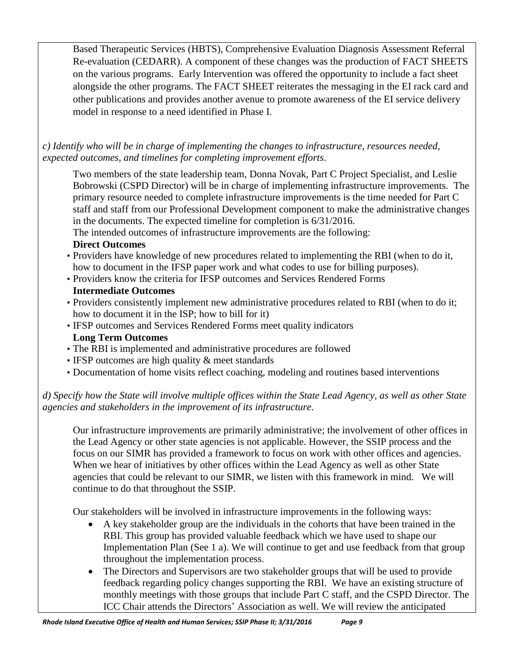Based Therapeutic Services (HBTS), Comprehensive Evaluation Diagnosis Assessment Referral Re-evaluation (CEDARR). A component of these changes was the production of FACT SHEETS on the various programs. Early Intervention was offered the opportunity to include a fact sheet alongside the other programs. The FACT SHEET reiterates the messaging in the EI rack card and other publications and provides another avenue to promote awareness of the EI service delivery model in response to a need identified in Phase I.

*c) Identify who will be in charge of implementing the changes to infrastructure, resources needed, expected outcomes, and timelines for completing improvement efforts*.

Two members of the state leadership team, Donna Novak, Part C Project Specialist, and Leslie Bobrowski (CSPD Director) will be in charge of implementing infrastructure improvements. The primary resource needed to complete infrastructure improvements is the time needed for Part C staff and staff from our Professional Development component to make the administrative changes in the documents. The expected timeline for completion is 6/31/2016.

The intended outcomes of infrastructure improvements are the following:

## **Direct Outcomes**

- Providers have knowledge of new procedures related to implementing the RBI (when to do it, how to document in the IFSP paper work and what codes to use for billing purposes).
- Providers know the criteria for IFSP outcomes and Services Rendered Forms **Intermediate Outcomes**
- Providers consistently implement new administrative procedures related to RBI (when to do it; how to document it in the ISP; how to bill for it)
- IFSP outcomes and Services Rendered Forms meet quality indicators **Long Term Outcomes**
- The RBI is implemented and administrative procedures are followed
- IFSP outcomes are high quality & meet standards
- Documentation of home visits reflect coaching, modeling and routines based interventions

# *d) Specify how the State will involve multiple offices within the State Lead Agency, as well as other State agencies and stakeholders in the improvement of its infrastructure.*

Our infrastructure improvements are primarily administrative; the involvement of other offices in the Lead Agency or other state agencies is not applicable. However, the SSIP process and the focus on our SIMR has provided a framework to focus on work with other offices and agencies. When we hear of initiatives by other offices within the Lead Agency as well as other State agencies that could be relevant to our SIMR, we listen with this framework in mind. We will continue to do that throughout the SSIP.

Our stakeholders will be involved in infrastructure improvements in the following ways:

- A key stakeholder group are the individuals in the cohorts that have been trained in the RBI. This group has provided valuable feedback which we have used to shape our Implementation Plan (See 1 a). We will continue to get and use feedback from that group throughout the implementation process.
- The Directors and Supervisors are two stakeholder groups that will be used to provide feedback regarding policy changes supporting the RBI. We have an existing structure of monthly meetings with those groups that include Part C staff, and the CSPD Director. The ICC Chair attends the Directors' Association as well. We will review the anticipated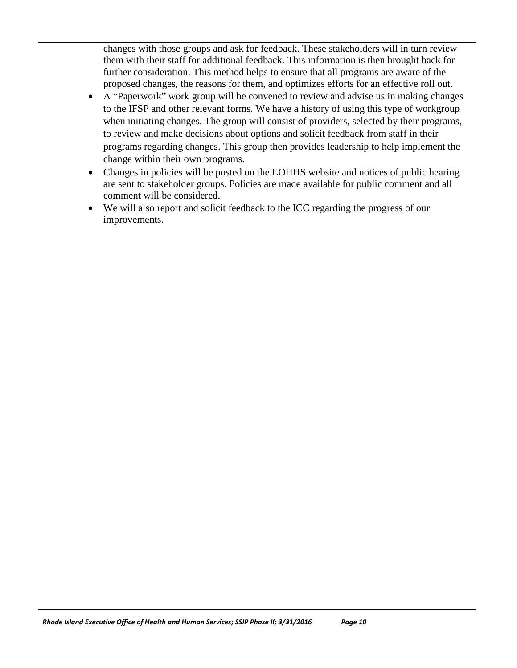changes with those groups and ask for feedback. These stakeholders will in turn review them with their staff for additional feedback. This information is then brought back for further consideration. This method helps to ensure that all programs are aware of the proposed changes, the reasons for them, and optimizes efforts for an effective roll out.

- A "Paperwork" work group will be convened to review and advise us in making changes to the IFSP and other relevant forms. We have a history of using this type of workgroup when initiating changes. The group will consist of providers, selected by their programs, to review and make decisions about options and solicit feedback from staff in their programs regarding changes. This group then provides leadership to help implement the change within their own programs.
- Changes in policies will be posted on the EOHHS website and notices of public hearing are sent to stakeholder groups. Policies are made available for public comment and all comment will be considered.
- We will also report and solicit feedback to the ICC regarding the progress of our improvements.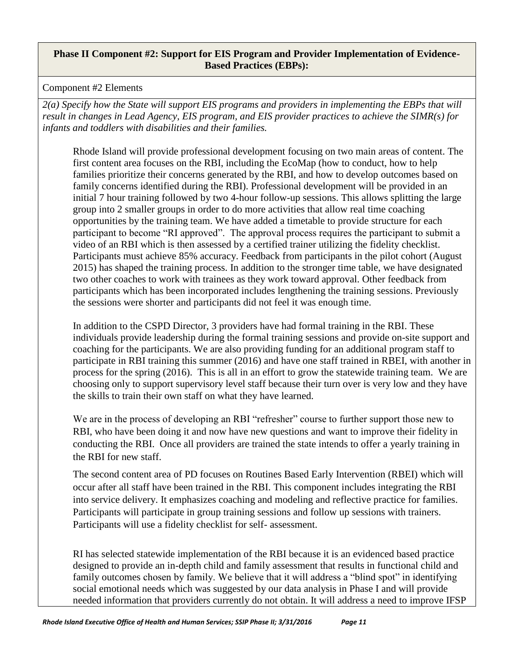#### **Phase II Component #2: Support for EIS Program and Provider Implementation of Evidence-Based Practices (EBPs):**

### Component #2 Elements

*2(a) Specify how the State will support EIS programs and providers in implementing the EBPs that will result in changes in Lead Agency, EIS program, and EIS provider practices to achieve the SIMR(s) for infants and toddlers with disabilities and their families.* 

Rhode Island will provide professional development focusing on two main areas of content. The first content area focuses on the RBI, including the EcoMap (how to conduct, how to help families prioritize their concerns generated by the RBI, and how to develop outcomes based on family concerns identified during the RBI). Professional development will be provided in an initial 7 hour training followed by two 4-hour follow-up sessions. This allows splitting the large group into 2 smaller groups in order to do more activities that allow real time coaching opportunities by the training team. We have added a timetable to provide structure for each participant to become "RI approved". The approval process requires the participant to submit a video of an RBI which is then assessed by a certified trainer utilizing the fidelity checklist. Participants must achieve 85% accuracy. Feedback from participants in the pilot cohort (August 2015) has shaped the training process. In addition to the stronger time table, we have designated two other coaches to work with trainees as they work toward approval. Other feedback from participants which has been incorporated includes lengthening the training sessions. Previously the sessions were shorter and participants did not feel it was enough time.

In addition to the CSPD Director, 3 providers have had formal training in the RBI. These individuals provide leadership during the formal training sessions and provide on-site support and coaching for the participants. We are also providing funding for an additional program staff to participate in RBI training this summer (2016) and have one staff trained in RBEI, with another in process for the spring (2016). This is all in an effort to grow the statewide training team. We are choosing only to support supervisory level staff because their turn over is very low and they have the skills to train their own staff on what they have learned.

We are in the process of developing an RBI "refresher" course to further support those new to RBI, who have been doing it and now have new questions and want to improve their fidelity in conducting the RBI. Once all providers are trained the state intends to offer a yearly training in the RBI for new staff.

The second content area of PD focuses on Routines Based Early Intervention (RBEI) which will occur after all staff have been trained in the RBI. This component includes integrating the RBI into service delivery. It emphasizes coaching and modeling and reflective practice for families. Participants will participate in group training sessions and follow up sessions with trainers. Participants will use a fidelity checklist for self- assessment.

RI has selected statewide implementation of the RBI because it is an evidenced based practice designed to provide an in-depth child and family assessment that results in functional child and family outcomes chosen by family. We believe that it will address a "blind spot" in identifying social emotional needs which was suggested by our data analysis in Phase I and will provide needed information that providers currently do not obtain. It will address a need to improve IFSP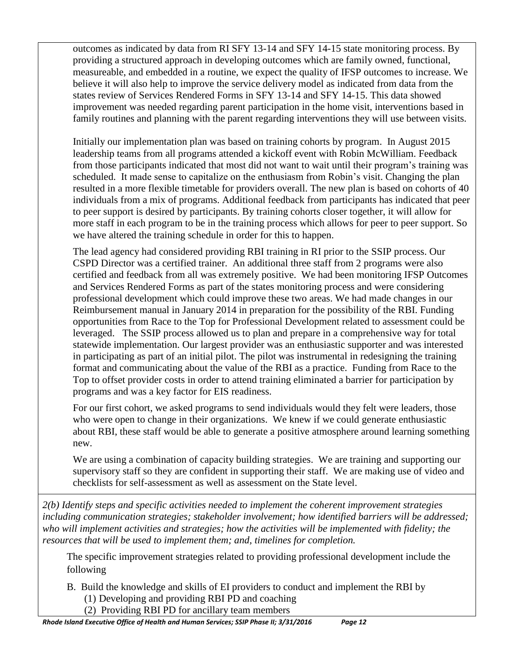outcomes as indicated by data from RI SFY 13-14 and SFY 14-15 state monitoring process. By providing a structured approach in developing outcomes which are family owned, functional, measureable, and embedded in a routine, we expect the quality of IFSP outcomes to increase. We believe it will also help to improve the service delivery model as indicated from data from the states review of Services Rendered Forms in SFY 13-14 and SFY 14-15. This data showed improvement was needed regarding parent participation in the home visit, interventions based in family routines and planning with the parent regarding interventions they will use between visits.

Initially our implementation plan was based on training cohorts by program. In August 2015 leadership teams from all programs attended a kickoff event with Robin McWilliam. Feedback from those participants indicated that most did not want to wait until their program's training was scheduled. It made sense to capitalize on the enthusiasm from Robin's visit. Changing the plan resulted in a more flexible timetable for providers overall. The new plan is based on cohorts of 40 individuals from a mix of programs. Additional feedback from participants has indicated that peer to peer support is desired by participants. By training cohorts closer together, it will allow for more staff in each program to be in the training process which allows for peer to peer support. So we have altered the training schedule in order for this to happen.

The lead agency had considered providing RBI training in RI prior to the SSIP process. Our CSPD Director was a certified trainer. An additional three staff from 2 programs were also certified and feedback from all was extremely positive. We had been monitoring IFSP Outcomes and Services Rendered Forms as part of the states monitoring process and were considering professional development which could improve these two areas. We had made changes in our Reimbursement manual in January 2014 in preparation for the possibility of the RBI. Funding opportunities from Race to the Top for Professional Development related to assessment could be leveraged. The SSIP process allowed us to plan and prepare in a comprehensive way for total statewide implementation. Our largest provider was an enthusiastic supporter and was interested in participating as part of an initial pilot. The pilot was instrumental in redesigning the training format and communicating about the value of the RBI as a practice. Funding from Race to the Top to offset provider costs in order to attend training eliminated a barrier for participation by programs and was a key factor for EIS readiness.

For our first cohort, we asked programs to send individuals would they felt were leaders, those who were open to change in their organizations. We knew if we could generate enthusiastic about RBI, these staff would be able to generate a positive atmosphere around learning something new.

We are using a combination of capacity building strategies. We are training and supporting our supervisory staff so they are confident in supporting their staff. We are making use of video and checklists for self-assessment as well as assessment on the State level.

*2(b) Identify steps and specific activities needed to implement the coherent improvement strategies including communication strategies; stakeholder involvement; how identified barriers will be addressed; who will implement activities and strategies; how the activities will be implemented with fidelity; the resources that will be used to implement them; and, timelines for completion.*

The specific improvement strategies related to providing professional development include the following

B. Build the knowledge and skills of EI providers to conduct and implement the RBI by

(1) Developing and providing RBI PD and coaching

(2) Providing RBI PD for ancillary team members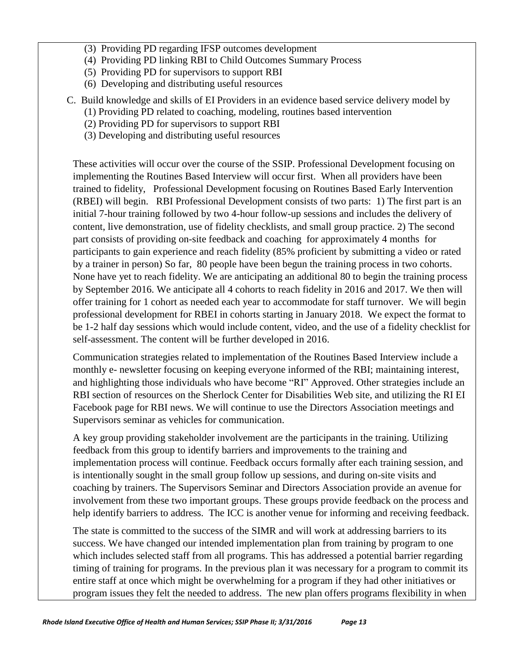- (3) Providing PD regarding IFSP outcomes development
- (4) Providing PD linking RBI to Child Outcomes Summary Process
- (5) Providing PD for supervisors to support RBI
- (6) Developing and distributing useful resources
- C. Build knowledge and skills of EI Providers in an evidence based service delivery model by
	- (1) Providing PD related to coaching, modeling, routines based intervention
	- (2) Providing PD for supervisors to support RBI
	- (3) Developing and distributing useful resources

These activities will occur over the course of the SSIP. Professional Development focusing on implementing the Routines Based Interview will occur first. When all providers have been trained to fidelity, Professional Development focusing on Routines Based Early Intervention (RBEI) will begin. RBI Professional Development consists of two parts: 1) The first part is an initial 7-hour training followed by two 4-hour follow-up sessions and includes the delivery of content, live demonstration, use of fidelity checklists, and small group practice. 2) The second part consists of providing on-site feedback and coaching for approximately 4 months for participants to gain experience and reach fidelity (85% proficient by submitting a video or rated by a trainer in person) So far, 80 people have been begun the training process in two cohorts. None have yet to reach fidelity. We are anticipating an additional 80 to begin the training process by September 2016. We anticipate all 4 cohorts to reach fidelity in 2016 and 2017. We then will offer training for 1 cohort as needed each year to accommodate for staff turnover. We will begin professional development for RBEI in cohorts starting in January 2018. We expect the format to be 1-2 half day sessions which would include content, video, and the use of a fidelity checklist for self-assessment. The content will be further developed in 2016.

Communication strategies related to implementation of the Routines Based Interview include a monthly e- newsletter focusing on keeping everyone informed of the RBI; maintaining interest, and highlighting those individuals who have become "RI" Approved. Other strategies include an RBI section of resources on the Sherlock Center for Disabilities Web site, and utilizing the RI EI Facebook page for RBI news. We will continue to use the Directors Association meetings and Supervisors seminar as vehicles for communication.

A key group providing stakeholder involvement are the participants in the training. Utilizing feedback from this group to identify barriers and improvements to the training and implementation process will continue. Feedback occurs formally after each training session, and is intentionally sought in the small group follow up sessions, and during on-site visits and coaching by trainers. The Supervisors Seminar and Directors Association provide an avenue for involvement from these two important groups. These groups provide feedback on the process and help identify barriers to address. The ICC is another venue for informing and receiving feedback.

The state is committed to the success of the SIMR and will work at addressing barriers to its success. We have changed our intended implementation plan from training by program to one which includes selected staff from all programs. This has addressed a potential barrier regarding timing of training for programs. In the previous plan it was necessary for a program to commit its entire staff at once which might be overwhelming for a program if they had other initiatives or program issues they felt the needed to address. The new plan offers programs flexibility in when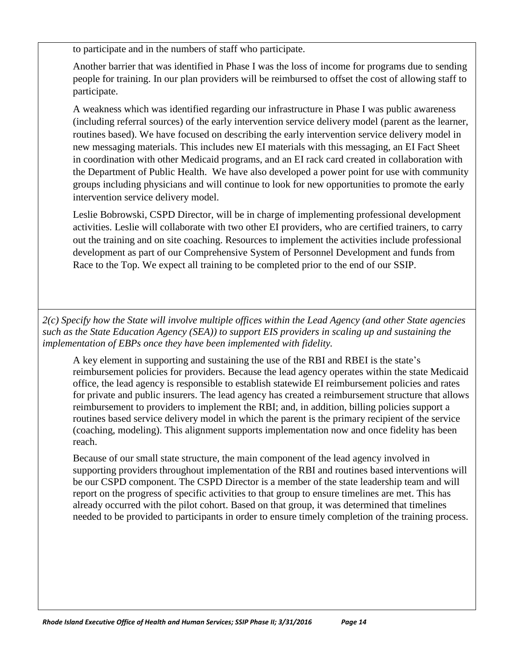to participate and in the numbers of staff who participate.

Another barrier that was identified in Phase I was the loss of income for programs due to sending people for training. In our plan providers will be reimbursed to offset the cost of allowing staff to participate.

A weakness which was identified regarding our infrastructure in Phase I was public awareness (including referral sources) of the early intervention service delivery model (parent as the learner, routines based). We have focused on describing the early intervention service delivery model in new messaging materials. This includes new EI materials with this messaging, an EI Fact Sheet in coordination with other Medicaid programs, and an EI rack card created in collaboration with the Department of Public Health. We have also developed a power point for use with community groups including physicians and will continue to look for new opportunities to promote the early intervention service delivery model.

Leslie Bobrowski, CSPD Director, will be in charge of implementing professional development activities. Leslie will collaborate with two other EI providers, who are certified trainers, to carry out the training and on site coaching. Resources to implement the activities include professional development as part of our Comprehensive System of Personnel Development and funds from Race to the Top. We expect all training to be completed prior to the end of our SSIP.

*2(c) Specify how the State will involve multiple offices within the Lead Agency (and other State agencies such as the State Education Agency (SEA)) to support EIS providers in scaling up and sustaining the implementation of EBPs once they have been implemented with fidelity.*

A key element in supporting and sustaining the use of the RBI and RBEI is the state's reimbursement policies for providers. Because the lead agency operates within the state Medicaid office, the lead agency is responsible to establish statewide EI reimbursement policies and rates for private and public insurers. The lead agency has created a reimbursement structure that allows reimbursement to providers to implement the RBI; and, in addition, billing policies support a routines based service delivery model in which the parent is the primary recipient of the service (coaching, modeling). This alignment supports implementation now and once fidelity has been reach.

Because of our small state structure, the main component of the lead agency involved in supporting providers throughout implementation of the RBI and routines based interventions will be our CSPD component. The CSPD Director is a member of the state leadership team and will report on the progress of specific activities to that group to ensure timelines are met. This has already occurred with the pilot cohort. Based on that group, it was determined that timelines needed to be provided to participants in order to ensure timely completion of the training process.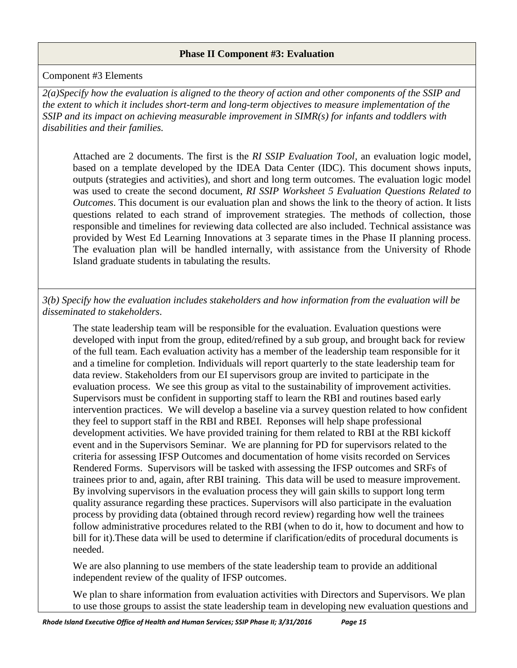#### **Phase II Component #3: Evaluation**

#### Component #3 Elements

*2(a)Specify how the evaluation is aligned to the theory of action and other components of the SSIP and the extent to which it includes short-term and long-term objectives to measure implementation of the SSIP and its impact on achieving measurable improvement in SIMR(s) for infants and toddlers with disabilities and their families.* 

Attached are 2 documents. The first is the *RI SSIP Evaluation Tool,* an evaluation logic model, based on a template developed by the IDEA Data Center (IDC). This document shows inputs, outputs (strategies and activities), and short and long term outcomes. The evaluation logic model was used to create the second document, *RI SSIP Worksheet 5 Evaluation Questions Related to Outcomes*. This document is our evaluation plan and shows the link to the theory of action. It lists questions related to each strand of improvement strategies. The methods of collection, those responsible and timelines for reviewing data collected are also included. Technical assistance was provided by West Ed Learning Innovations at 3 separate times in the Phase II planning process. The evaluation plan will be handled internally, with assistance from the University of Rhode Island graduate students in tabulating the results.

*3(b) Specify how the evaluation includes stakeholders and how information from the evaluation will be disseminated to stakeholders*.

The state leadership team will be responsible for the evaluation. Evaluation questions were developed with input from the group, edited/refined by a sub group, and brought back for review of the full team. Each evaluation activity has a member of the leadership team responsible for it and a timeline for completion. Individuals will report quarterly to the state leadership team for data review. Stakeholders from our EI supervisors group are invited to participate in the evaluation process. We see this group as vital to the sustainability of improvement activities. Supervisors must be confident in supporting staff to learn the RBI and routines based early intervention practices. We will develop a baseline via a survey question related to how confident they feel to support staff in the RBI and RBEI. Reponses will help shape professional development activities. We have provided training for them related to RBI at the RBI kickoff event and in the Supervisors Seminar. We are planning for PD for supervisors related to the criteria for assessing IFSP Outcomes and documentation of home visits recorded on Services Rendered Forms. Supervisors will be tasked with assessing the IFSP outcomes and SRFs of trainees prior to and, again, after RBI training. This data will be used to measure improvement. By involving supervisors in the evaluation process they will gain skills to support long term quality assurance regarding these practices. Supervisors will also participate in the evaluation process by providing data (obtained through record review) regarding how well the trainees follow administrative procedures related to the RBI (when to do it, how to document and how to bill for it).These data will be used to determine if clarification/edits of procedural documents is needed.

We are also planning to use members of the state leadership team to provide an additional independent review of the quality of IFSP outcomes.

We plan to share information from evaluation activities with Directors and Supervisors. We plan to use those groups to assist the state leadership team in developing new evaluation questions and